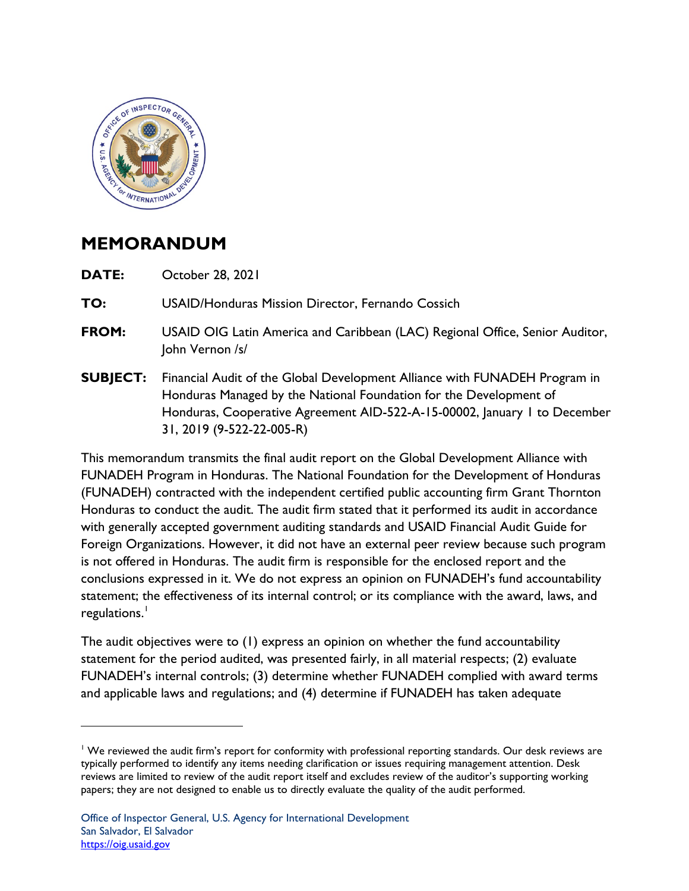

## **MEMORANDUM**

**DATE:** October 28, 2021

**TO:** USAID/Honduras Mission Director, Fernando Cossich

- **FROM:** USAID OIG Latin America and Caribbean (LAC) Regional Office, Senior Auditor, John Vernon /s/
- 31, 2019 (9-522-22-005-R) **SUBJECT:** Financial Audit of the Global Development Alliance with FUNADEH Program in Honduras Managed by the National Foundation for the Development of Honduras, Cooperative Agreement AID-522-A-15-00002, January 1 to December

This memorandum transmits the final audit report on the Global Development Alliance with FUNADEH Program in Honduras. The National Foundation for the Development of Honduras (FUNADEH) contracted with the independent certified public accounting firm Grant Thornton Honduras to conduct the audit. The audit firm stated that it performed its audit in accordance with generally accepted government auditing standards and USAID Financial Audit Guide for Foreign Organizations. However, it did not have an external peer review because such program is not offered in Honduras. The audit firm is responsible for the enclosed report and the conclusions expressed in it. We do not express an opinion on FUNADEH's fund accountability statement; the effectiveness of its internal control; or its compliance with the award, laws, and regulations.<sup>1</sup>

The audit objectives were to (1) express an opinion on whether the fund accountability statement for the period audited, was presented fairly, in all material respects; (2) evaluate FUNADEH's internal controls; (3) determine whether FUNADEH complied with award terms and applicable laws and regulations; and (4) determine if FUNADEH has taken adequate

<sup>&</sup>lt;sup>1</sup> We reviewed the audit firm's report for conformity with professional reporting standards. Our desk reviews are typically performed to identify any items needing clarification or issues requiring management attention. Desk reviews are limited to review of the audit report itself and excludes review of the auditor's supporting working papers; they are not designed to enable us to directly evaluate the quality of the audit performed.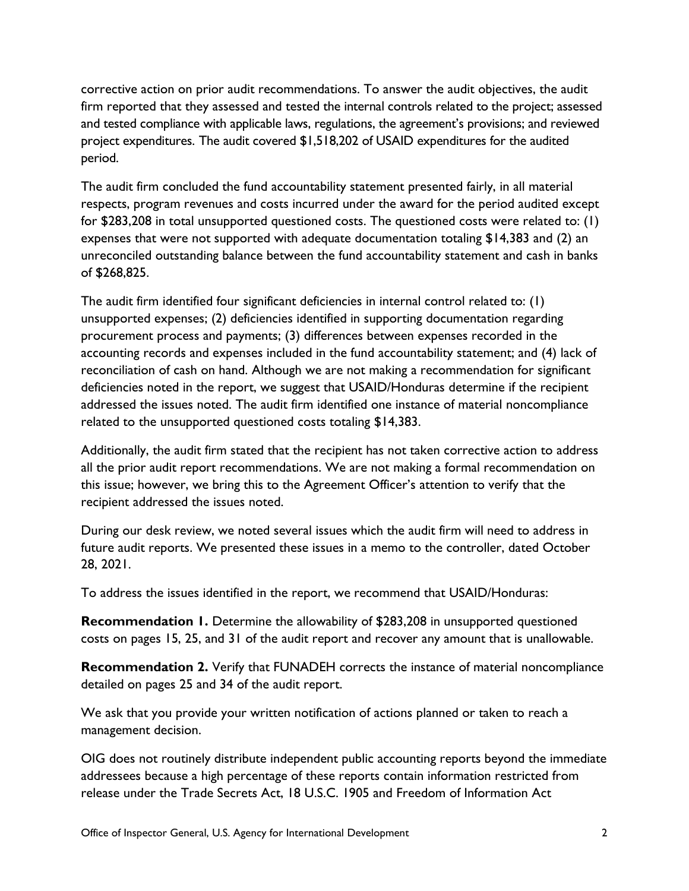and tested compliance with applicable laws, regulations, the agreement's provisions; and reviewed period. corrective action on prior audit recommendations. To answer the audit objectives, the audit firm reported that they assessed and tested the internal controls related to the project; assessed project expenditures. The audit covered \$1,518,202 of USAID expenditures for the audited

 respects, program revenues and costs incurred under the award for the period audited except unreconciled outstanding balance between the fund accountability statement and cash in banks The audit firm concluded the fund accountability statement presented fairly, in all material for \$283,208 in total unsupported questioned costs. The questioned costs were related to: (1) expenses that were not supported with adequate documentation totaling \$14,383 and (2) an of \$268,825.

The audit firm identified four significant deficiencies in internal control related to: (1) unsupported expenses; (2) deficiencies identified in supporting documentation regarding procurement process and payments; (3) differences between expenses recorded in the accounting records and expenses included in the fund accountability statement; and (4) lack of reconciliation of cash on hand. Although we are not making a recommendation for significant deficiencies noted in the report, we suggest that USAID/Honduras determine if the recipient addressed the issues noted. The audit firm identified one instance of material noncompliance related to the unsupported questioned costs totaling \$14,383.

Additionally, the audit firm stated that the recipient has not taken corrective action to address all the prior audit report recommendations. We are not making a formal recommendation on this issue; however, we bring this to the Agreement Officer's attention to verify that the recipient addressed the issues noted.

 During our desk review, we noted several issues which the audit firm will need to address in future audit reports. We presented these issues in a memo to the controller, dated October 28, 2021.

To address the issues identified in the report, we recommend that USAID/Honduras:

 costs on pages 15, 25, and 31 of the audit report and recover any amount that is unallowable. **Recommendation 1.** Determine the allowability of \$283,208 in unsupported questioned

**Recommendation 2.** Verify that FUNADEH corrects the instance of material noncompliance detailed on pages 25 and 34 of the audit report.

We ask that you provide your written notification of actions planned or taken to reach a management decision.

 OIG does not routinely distribute independent public accounting reports beyond the immediate release under the Trade Secrets Act, 18 U.S.C. 1905 and Freedom of Information Act addressees because a high percentage of these reports contain information restricted from